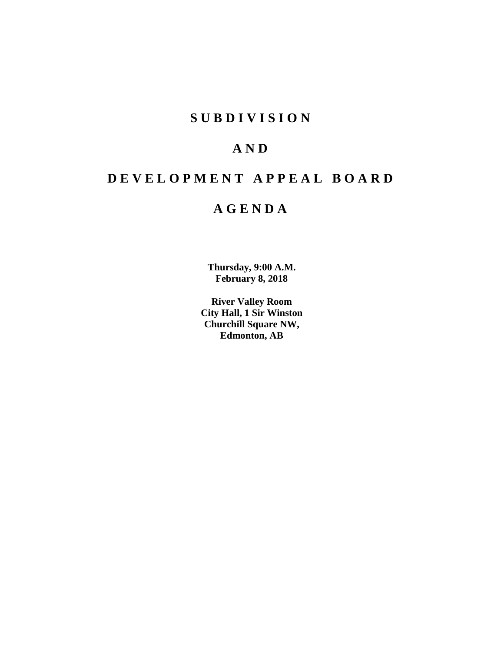# **SUBDIVISION**

# **AND**

# **DEVELOPMENT APPEAL BOARD**

# **AGENDA**

**Thursday, 9:00 A.M. February 8, 2018**

**River Valley Room City Hall, 1 Sir Winston Churchill Square NW, Edmonton, AB**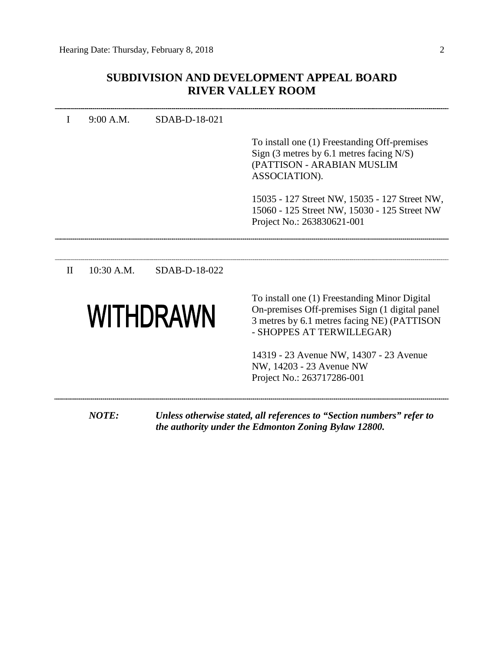# **SUBDIVISION AND DEVELOPMENT APPEAL BOARD RIVER VALLEY ROOM**

|              | 9:00 A.M.  | SDAB-D-18-021 |                                                                                                                                                                              |
|--------------|------------|---------------|------------------------------------------------------------------------------------------------------------------------------------------------------------------------------|
|              |            |               | To install one (1) Freestanding Off-premises<br>Sign $(3$ metres by 6.1 metres facing N/S)<br>(PATTISON - ARABIAN MUSLIM<br>ASSOCIATION).                                    |
|              |            |               | 15035 - 127 Street NW, 15035 - 127 Street NW,<br>15060 - 125 Street NW, 15030 - 125 Street NW<br>Project No.: 263830621-001                                                  |
|              |            |               |                                                                                                                                                                              |
| $\mathbf{I}$ | 10:30 A.M. | SDAB-D-18-022 |                                                                                                                                                                              |
|              |            | WITHDRAWN     | To install one (1) Freestanding Minor Digital<br>On-premises Off-premises Sign (1 digital panel)<br>3 metres by 6.1 metres facing NE) (PATTISON<br>- SHOPPES AT TERWILLEGAR) |
|              |            |               | 14319 - 23 Avenue NW, 14307 - 23 Avenue<br>NW, 14203 - 23 Avenue NW<br>Project No.: 263717286-001                                                                            |

*the authority under the Edmonton Zoning Bylaw 12800.*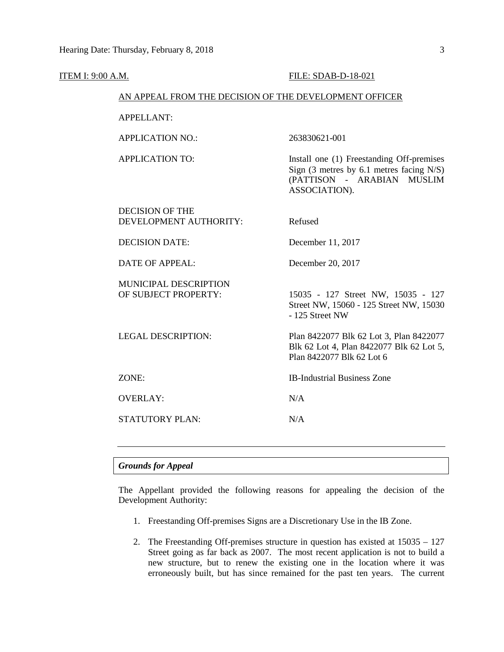| <b>ITEM I: 9:00 A.M.</b> |                                                        | FILE: SDAB-D-18-021                                                                                                                    |
|--------------------------|--------------------------------------------------------|----------------------------------------------------------------------------------------------------------------------------------------|
|                          | AN APPEAL FROM THE DECISION OF THE DEVELOPMENT OFFICER |                                                                                                                                        |
|                          | <b>APPELLANT:</b>                                      |                                                                                                                                        |
|                          | <b>APPLICATION NO.:</b>                                | 263830621-001                                                                                                                          |
|                          | <b>APPLICATION TO:</b>                                 | Install one (1) Freestanding Off-premises<br>Sign $(3$ metres by 6.1 metres facing N/S)<br>(PATTISON - ARABIAN MUSLIM<br>ASSOCIATION). |
|                          | <b>DECISION OF THE</b><br>DEVELOPMENT AUTHORITY:       | Refused                                                                                                                                |
|                          | <b>DECISION DATE:</b>                                  | December 11, 2017                                                                                                                      |
|                          | <b>DATE OF APPEAL:</b>                                 | December 20, 2017                                                                                                                      |
|                          | MUNICIPAL DESCRIPTION<br>OF SUBJECT PROPERTY:          | 15035 - 127 Street NW, 15035 - 127<br>Street NW, 15060 - 125 Street NW, 15030<br>- 125 Street NW                                       |
|                          | <b>LEGAL DESCRIPTION:</b>                              | Plan 8422077 Blk 62 Lot 3, Plan 8422077<br>Blk 62 Lot 4, Plan 8422077 Blk 62 Lot 5,<br>Plan 8422077 Blk 62 Lot 6                       |
|                          | ZONE:                                                  | <b>IB-Industrial Business Zone</b>                                                                                                     |
|                          | <b>OVERLAY:</b>                                        | N/A                                                                                                                                    |
|                          | STATUTORY PLAN:                                        | N/A                                                                                                                                    |
|                          |                                                        |                                                                                                                                        |

# *Grounds for Appeal*

The Appellant provided the following reasons for appealing the decision of the Development Authority:

- 1. Freestanding Off-premises Signs are a Discretionary Use in the IB Zone.
- 2. The Freestanding Off-premises structure in question has existed at 15035 127 Street going as far back as 2007. The most recent application is not to build a new structure, but to renew the existing one in the location where it was erroneously built, but has since remained for the past ten years. The current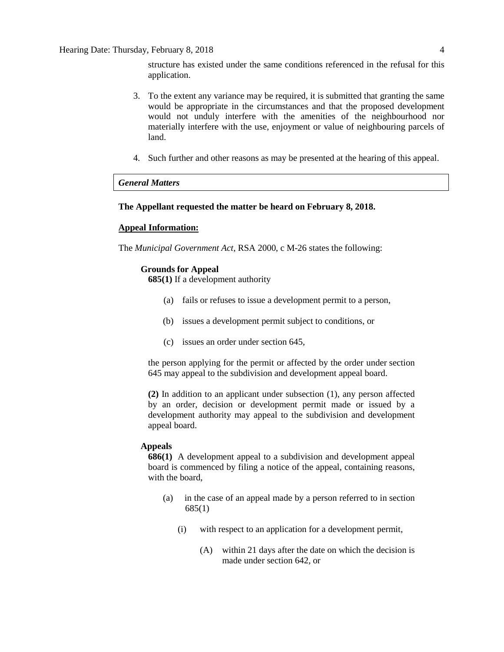structure has existed under the same conditions referenced in the refusal for this application.

- 3. To the extent any variance may be required, it is submitted that granting the same would be appropriate in the circumstances and that the proposed development would not unduly interfere with the amenities of the neighbourhood nor materially interfere with the use, enjoyment or value of neighbouring parcels of land.
- 4. Such further and other reasons as may be presented at the hearing of this appeal.

# *General Matters*

# **The Appellant requested the matter be heard on February 8, 2018.**

#### **Appeal Information:**

The *Municipal Government Act*, RSA 2000, c M-26 states the following:

# **Grounds for Appeal**

**685(1)** If a development authority

- (a) fails or refuses to issue a development permit to a person,
- (b) issues a development permit subject to conditions, or
- (c) issues an order under section 645,

the person applying for the permit or affected by the order under section 645 may appeal to the subdivision and development appeal board.

**(2)** In addition to an applicant under subsection (1), any person affected by an order, decision or development permit made or issued by a development authority may appeal to the subdivision and development appeal board.

#### **Appeals**

**686(1)** A development appeal to a subdivision and development appeal board is commenced by filing a notice of the appeal, containing reasons, with the board,

- (a) in the case of an appeal made by a person referred to in section 685(1)
	- (i) with respect to an application for a development permit,
		- (A) within 21 days after the date on which the decision is made under section 642, or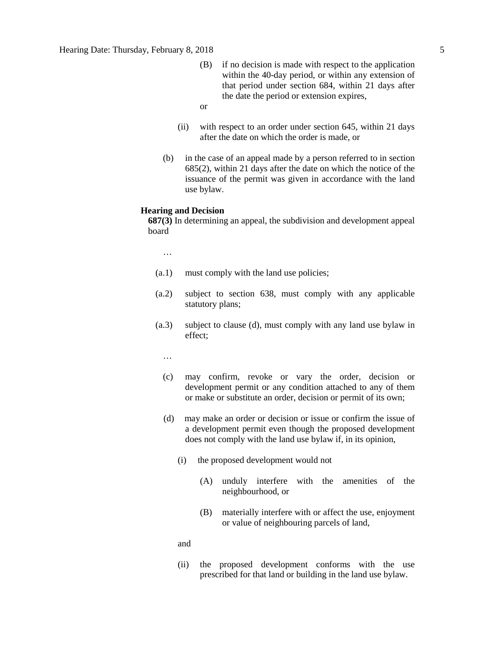- (B) if no decision is made with respect to the application within the 40-day period, or within any extension of that period under section 684, within 21 days after the date the period or extension expires,
- or
- (ii) with respect to an order under section 645, within 21 days after the date on which the order is made, or
- (b) in the case of an appeal made by a person referred to in section 685(2), within 21 days after the date on which the notice of the issuance of the permit was given in accordance with the land use bylaw.

#### **Hearing and Decision**

**687(3)** In determining an appeal, the subdivision and development appeal board

…

- (a.1) must comply with the land use policies;
- (a.2) subject to section 638, must comply with any applicable statutory plans;
- (a.3) subject to clause (d), must comply with any land use bylaw in effect;

…

- (c) may confirm, revoke or vary the order, decision or development permit or any condition attached to any of them or make or substitute an order, decision or permit of its own;
- (d) may make an order or decision or issue or confirm the issue of a development permit even though the proposed development does not comply with the land use bylaw if, in its opinion,
	- (i) the proposed development would not
		- (A) unduly interfere with the amenities of the neighbourhood, or
		- (B) materially interfere with or affect the use, enjoyment or value of neighbouring parcels of land,

and

(ii) the proposed development conforms with the use prescribed for that land or building in the land use bylaw.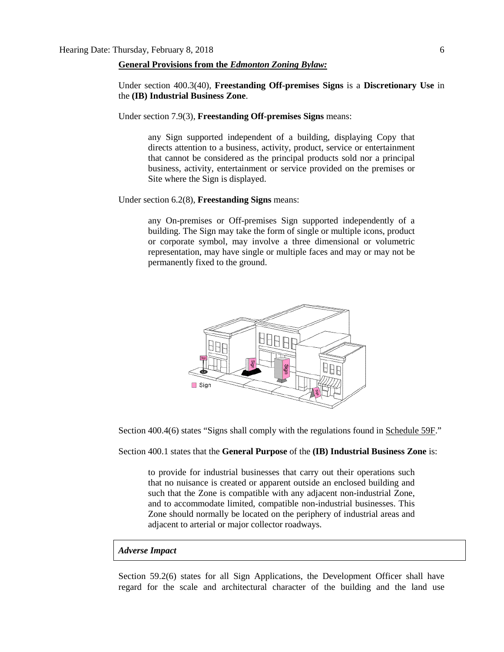#### **General Provisions from the** *Edmonton Zoning Bylaw:*

Under section 400.3(40), **Freestanding Off-premises Signs** is a **Discretionary Use** in the **(IB) Industrial Business Zone**.

Under section 7.9(3), **Freestanding Off-premises Signs** means:

any Sign supported independent of a building, displaying Copy that directs attention to a business, activity, product, service or entertainment that cannot be considered as the principal products sold nor a principal business, activity, entertainment or service provided on the premises or Site where the Sign is displayed.

Under section 6.2(8), **Freestanding Signs** means:

any On-premises or Off-premises Sign supported independently of a building. The Sign may take the form of single or multiple icons, product or corporate symbol, may involve a three dimensional or volumetric representation, may have single or multiple faces and may or may not be permanently fixed to the ground.



Section 400.4(6) states "Signs shall comply with the regulations found in Schedule 59F."

# Section 400.1 states that the **General Purpose** of the **(IB) Industrial Business Zone** is:

to provide for industrial businesses that carry out their operations such that no nuisance is created or apparent outside an enclosed building and such that the Zone is compatible with any adjacent non-industrial Zone, and to accommodate limited, compatible non-industrial businesses. This Zone should normally be located on the periphery of industrial areas and adjacent to arterial or major collector roadways.

# *Adverse Impact*

Section 59.2(6) states for all Sign Applications, the Development Officer shall have regard for the scale and architectural character of the building and the land use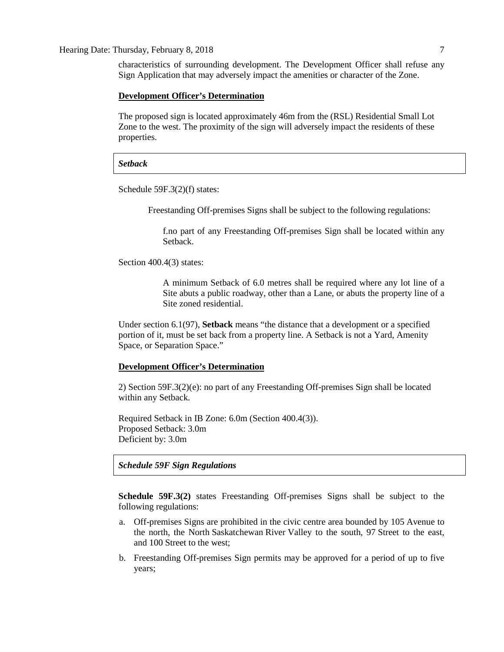characteristics of surrounding development. The Development Officer shall refuse any Sign Application that may adversely impact the amenities or character of the Zone.

#### **Development Officer's Determination**

The proposed sign is located approximately 46m from the (RSL) Residential Small Lot Zone to the west. The proximity of the sign will adversely impact the residents of these properties.

# *Setback*

Schedule 59F.3(2)(f) states:

Freestanding Off-premises Signs shall be subject to the following regulations:

f.no part of any Freestanding Off-premises Sign shall be located within any Setback.

Section 400.4(3) states:

A minimum Setback of 6.0 metres shall be required where any lot line of a Site abuts a public roadway, other than a Lane, or abuts the property line of a Site zoned residential.

Under section 6.1(97), **Setback** means "the distance that a development or a specified portion of it, must be set back from a property line. A Setback is not a Yard, Amenity Space, or Separation Space."

# **Development Officer's Determination**

2) Section 59F.3(2)(e): no part of any Freestanding Off-premises Sign shall be located within any Setback.

Required Setback in IB Zone: 6.0m (Section 400.4(3)). Proposed Setback: 3.0m Deficient by: 3.0m

# *Schedule 59F Sign Regulations*

**Schedule 59F.3(2)** states Freestanding Off-premises Signs shall be subject to the following regulations:

- a. Off-premises Signs are prohibited in the civic centre area bounded by 105 Avenue to the north, the North Saskatchewan River Valley to the south, 97 Street to the east, and 100 Street to the west;
- b. Freestanding Off-premises Sign permits may be approved for a period of up to five years;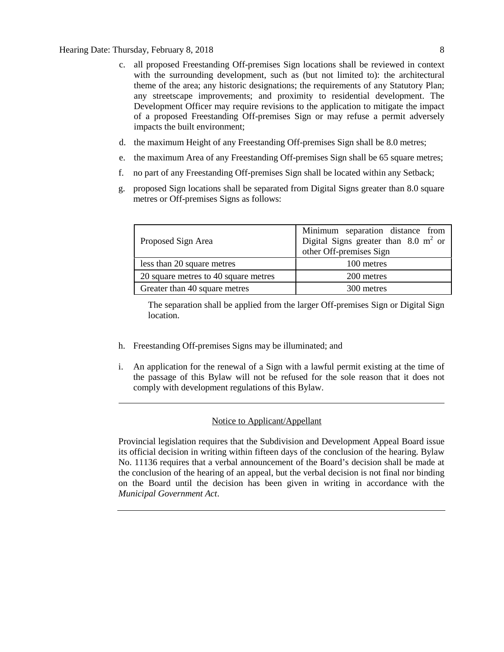- c. all proposed Freestanding Off-premises Sign locations shall be reviewed in context with the surrounding development, such as (but not limited to): the architectural theme of the area; any historic designations; the requirements of any Statutory Plan; any streetscape improvements; and proximity to residential development. The Development Officer may require revisions to the application to mitigate the impact of a proposed Freestanding Off-premises Sign or may refuse a permit adversely impacts the built environment;
- d. the maximum Height of any Freestanding Off-premises Sign shall be [8.0](javascript:void(0);) metres;
- e. the maximum Area of any Freestanding Off-premises Sign shall be 65 [square](javascript:void(0);) metres;
- f. no part of any Freestanding Off-premises Sign shall be located within any Setback;
- g. proposed Sign locations shall be separated from Digital Signs greater than [8.0 square](javascript:void(0);) metres or Off-premises Signs as follows:

| Proposed Sign Area                   | Minimum separation distance from<br>Digital Signs greater than $8.0 \text{ m}^2$ or<br>other Off-premises Sign |
|--------------------------------------|----------------------------------------------------------------------------------------------------------------|
| less than 20 square metres           | 100 metres                                                                                                     |
| 20 square metres to 40 square metres | 200 metres                                                                                                     |
| Greater than 40 square metres        | 300 metres                                                                                                     |

The separation shall be applied from the larger Off-premises Sign or Digital Sign location.

- h. Freestanding Off-premises Signs may be illuminated; and
- i. An application for the renewal of a Sign with a lawful permit existing at the time of the passage of this Bylaw will not be refused for the sole reason that it does not comply with development regulations of this Bylaw.

# Notice to Applicant/Appellant

Provincial legislation requires that the Subdivision and Development Appeal Board issue its official decision in writing within fifteen days of the conclusion of the hearing. Bylaw No. 11136 requires that a verbal announcement of the Board's decision shall be made at the conclusion of the hearing of an appeal, but the verbal decision is not final nor binding on the Board until the decision has been given in writing in accordance with the *Municipal Government Act*.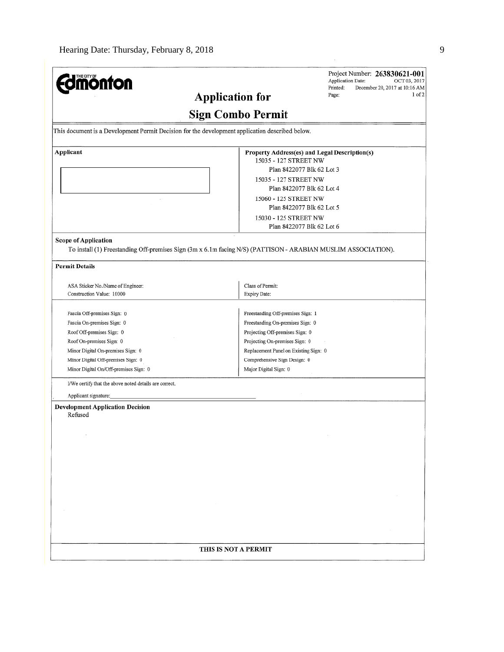| Page:<br><b>Application for</b><br><b>Sign Combo Permit</b><br>This document is a Development Permit Decision for the development application described below.<br>Property Address(es) and Legal Description(s)<br>15035 - 127 STREET NW<br>Plan 8422077 Blk 62 Lot 3<br>15035 - 127 STREET NW<br>Plan 8422077 Blk 62 Lot 4<br>15060 - 125 STREET NW<br>Plan 8422077 Blk 62 Lot 5<br>15030 - 125 STREET NW<br>Plan 8422077 Blk 62 Lot 6<br>To install (1) Freestanding Off-premises Sign (3m x 6.1m facing N/S) (PATTISON - ARABIAN MUSLIM ASSOCIATION).<br>Class of Permit:<br>ASA Sticker No./Name of Engineer:<br>Construction Value: 10000<br>Expiry Date:<br>Freestanding Off-premises Sign: 1<br>Fascia Off-premises Sign: 0<br>Fascia On-premises Sign: 0<br>Freestanding On-premises Sign: 0<br>Roof Off-premises Sign: 0<br>Projecting Off-premises Sign: 0<br>Roof On-premises Sign: 0<br>Projecting On-premises Sign: 0<br>Minor Digital On-premises Sign: 0<br>Replacement Panel on Existing Sign: 0<br>Minor Digital Off-premises Sign: 0<br>Comprehensive Sign Design: 0<br>Minor Digital On/Off-premises Sign: 0<br>Major Digital Sign: 0<br>I/We certify that the above noted details are correct.<br>Applicant signature:<br>Refused<br>THIS IS NOT A PERMIT | <b>mönton</b>                           | Project Number: 263830621-001<br>Application Date:<br>OCT 03, 2017<br>Printed:<br>December 20, 2017 at 10:16 AM |
|-------------------------------------------------------------------------------------------------------------------------------------------------------------------------------------------------------------------------------------------------------------------------------------------------------------------------------------------------------------------------------------------------------------------------------------------------------------------------------------------------------------------------------------------------------------------------------------------------------------------------------------------------------------------------------------------------------------------------------------------------------------------------------------------------------------------------------------------------------------------------------------------------------------------------------------------------------------------------------------------------------------------------------------------------------------------------------------------------------------------------------------------------------------------------------------------------------------------------------------------------------------------------------|-----------------------------------------|-----------------------------------------------------------------------------------------------------------------|
|                                                                                                                                                                                                                                                                                                                                                                                                                                                                                                                                                                                                                                                                                                                                                                                                                                                                                                                                                                                                                                                                                                                                                                                                                                                                               |                                         | $1$ of $2$                                                                                                      |
|                                                                                                                                                                                                                                                                                                                                                                                                                                                                                                                                                                                                                                                                                                                                                                                                                                                                                                                                                                                                                                                                                                                                                                                                                                                                               |                                         |                                                                                                                 |
|                                                                                                                                                                                                                                                                                                                                                                                                                                                                                                                                                                                                                                                                                                                                                                                                                                                                                                                                                                                                                                                                                                                                                                                                                                                                               |                                         |                                                                                                                 |
|                                                                                                                                                                                                                                                                                                                                                                                                                                                                                                                                                                                                                                                                                                                                                                                                                                                                                                                                                                                                                                                                                                                                                                                                                                                                               |                                         |                                                                                                                 |
|                                                                                                                                                                                                                                                                                                                                                                                                                                                                                                                                                                                                                                                                                                                                                                                                                                                                                                                                                                                                                                                                                                                                                                                                                                                                               | Applicant                               |                                                                                                                 |
|                                                                                                                                                                                                                                                                                                                                                                                                                                                                                                                                                                                                                                                                                                                                                                                                                                                                                                                                                                                                                                                                                                                                                                                                                                                                               |                                         |                                                                                                                 |
|                                                                                                                                                                                                                                                                                                                                                                                                                                                                                                                                                                                                                                                                                                                                                                                                                                                                                                                                                                                                                                                                                                                                                                                                                                                                               |                                         |                                                                                                                 |
|                                                                                                                                                                                                                                                                                                                                                                                                                                                                                                                                                                                                                                                                                                                                                                                                                                                                                                                                                                                                                                                                                                                                                                                                                                                                               |                                         |                                                                                                                 |
|                                                                                                                                                                                                                                                                                                                                                                                                                                                                                                                                                                                                                                                                                                                                                                                                                                                                                                                                                                                                                                                                                                                                                                                                                                                                               |                                         |                                                                                                                 |
|                                                                                                                                                                                                                                                                                                                                                                                                                                                                                                                                                                                                                                                                                                                                                                                                                                                                                                                                                                                                                                                                                                                                                                                                                                                                               |                                         |                                                                                                                 |
|                                                                                                                                                                                                                                                                                                                                                                                                                                                                                                                                                                                                                                                                                                                                                                                                                                                                                                                                                                                                                                                                                                                                                                                                                                                                               |                                         |                                                                                                                 |
|                                                                                                                                                                                                                                                                                                                                                                                                                                                                                                                                                                                                                                                                                                                                                                                                                                                                                                                                                                                                                                                                                                                                                                                                                                                                               |                                         |                                                                                                                 |
|                                                                                                                                                                                                                                                                                                                                                                                                                                                                                                                                                                                                                                                                                                                                                                                                                                                                                                                                                                                                                                                                                                                                                                                                                                                                               |                                         |                                                                                                                 |
|                                                                                                                                                                                                                                                                                                                                                                                                                                                                                                                                                                                                                                                                                                                                                                                                                                                                                                                                                                                                                                                                                                                                                                                                                                                                               | <b>Scope of Application</b>             |                                                                                                                 |
|                                                                                                                                                                                                                                                                                                                                                                                                                                                                                                                                                                                                                                                                                                                                                                                                                                                                                                                                                                                                                                                                                                                                                                                                                                                                               |                                         |                                                                                                                 |
|                                                                                                                                                                                                                                                                                                                                                                                                                                                                                                                                                                                                                                                                                                                                                                                                                                                                                                                                                                                                                                                                                                                                                                                                                                                                               | <b>Permit Details</b>                   |                                                                                                                 |
|                                                                                                                                                                                                                                                                                                                                                                                                                                                                                                                                                                                                                                                                                                                                                                                                                                                                                                                                                                                                                                                                                                                                                                                                                                                                               |                                         |                                                                                                                 |
|                                                                                                                                                                                                                                                                                                                                                                                                                                                                                                                                                                                                                                                                                                                                                                                                                                                                                                                                                                                                                                                                                                                                                                                                                                                                               |                                         |                                                                                                                 |
|                                                                                                                                                                                                                                                                                                                                                                                                                                                                                                                                                                                                                                                                                                                                                                                                                                                                                                                                                                                                                                                                                                                                                                                                                                                                               |                                         |                                                                                                                 |
|                                                                                                                                                                                                                                                                                                                                                                                                                                                                                                                                                                                                                                                                                                                                                                                                                                                                                                                                                                                                                                                                                                                                                                                                                                                                               |                                         |                                                                                                                 |
|                                                                                                                                                                                                                                                                                                                                                                                                                                                                                                                                                                                                                                                                                                                                                                                                                                                                                                                                                                                                                                                                                                                                                                                                                                                                               |                                         |                                                                                                                 |
|                                                                                                                                                                                                                                                                                                                                                                                                                                                                                                                                                                                                                                                                                                                                                                                                                                                                                                                                                                                                                                                                                                                                                                                                                                                                               |                                         |                                                                                                                 |
|                                                                                                                                                                                                                                                                                                                                                                                                                                                                                                                                                                                                                                                                                                                                                                                                                                                                                                                                                                                                                                                                                                                                                                                                                                                                               |                                         |                                                                                                                 |
|                                                                                                                                                                                                                                                                                                                                                                                                                                                                                                                                                                                                                                                                                                                                                                                                                                                                                                                                                                                                                                                                                                                                                                                                                                                                               |                                         |                                                                                                                 |
|                                                                                                                                                                                                                                                                                                                                                                                                                                                                                                                                                                                                                                                                                                                                                                                                                                                                                                                                                                                                                                                                                                                                                                                                                                                                               |                                         |                                                                                                                 |
|                                                                                                                                                                                                                                                                                                                                                                                                                                                                                                                                                                                                                                                                                                                                                                                                                                                                                                                                                                                                                                                                                                                                                                                                                                                                               |                                         |                                                                                                                 |
|                                                                                                                                                                                                                                                                                                                                                                                                                                                                                                                                                                                                                                                                                                                                                                                                                                                                                                                                                                                                                                                                                                                                                                                                                                                                               |                                         |                                                                                                                 |
|                                                                                                                                                                                                                                                                                                                                                                                                                                                                                                                                                                                                                                                                                                                                                                                                                                                                                                                                                                                                                                                                                                                                                                                                                                                                               |                                         |                                                                                                                 |
|                                                                                                                                                                                                                                                                                                                                                                                                                                                                                                                                                                                                                                                                                                                                                                                                                                                                                                                                                                                                                                                                                                                                                                                                                                                                               | <b>Development Application Decision</b> |                                                                                                                 |
|                                                                                                                                                                                                                                                                                                                                                                                                                                                                                                                                                                                                                                                                                                                                                                                                                                                                                                                                                                                                                                                                                                                                                                                                                                                                               |                                         |                                                                                                                 |
|                                                                                                                                                                                                                                                                                                                                                                                                                                                                                                                                                                                                                                                                                                                                                                                                                                                                                                                                                                                                                                                                                                                                                                                                                                                                               |                                         |                                                                                                                 |
|                                                                                                                                                                                                                                                                                                                                                                                                                                                                                                                                                                                                                                                                                                                                                                                                                                                                                                                                                                                                                                                                                                                                                                                                                                                                               |                                         |                                                                                                                 |
|                                                                                                                                                                                                                                                                                                                                                                                                                                                                                                                                                                                                                                                                                                                                                                                                                                                                                                                                                                                                                                                                                                                                                                                                                                                                               |                                         |                                                                                                                 |
|                                                                                                                                                                                                                                                                                                                                                                                                                                                                                                                                                                                                                                                                                                                                                                                                                                                                                                                                                                                                                                                                                                                                                                                                                                                                               |                                         |                                                                                                                 |
|                                                                                                                                                                                                                                                                                                                                                                                                                                                                                                                                                                                                                                                                                                                                                                                                                                                                                                                                                                                                                                                                                                                                                                                                                                                                               |                                         |                                                                                                                 |
|                                                                                                                                                                                                                                                                                                                                                                                                                                                                                                                                                                                                                                                                                                                                                                                                                                                                                                                                                                                                                                                                                                                                                                                                                                                                               |                                         |                                                                                                                 |
|                                                                                                                                                                                                                                                                                                                                                                                                                                                                                                                                                                                                                                                                                                                                                                                                                                                                                                                                                                                                                                                                                                                                                                                                                                                                               |                                         |                                                                                                                 |
|                                                                                                                                                                                                                                                                                                                                                                                                                                                                                                                                                                                                                                                                                                                                                                                                                                                                                                                                                                                                                                                                                                                                                                                                                                                                               |                                         |                                                                                                                 |
|                                                                                                                                                                                                                                                                                                                                                                                                                                                                                                                                                                                                                                                                                                                                                                                                                                                                                                                                                                                                                                                                                                                                                                                                                                                                               |                                         |                                                                                                                 |
|                                                                                                                                                                                                                                                                                                                                                                                                                                                                                                                                                                                                                                                                                                                                                                                                                                                                                                                                                                                                                                                                                                                                                                                                                                                                               |                                         |                                                                                                                 |
|                                                                                                                                                                                                                                                                                                                                                                                                                                                                                                                                                                                                                                                                                                                                                                                                                                                                                                                                                                                                                                                                                                                                                                                                                                                                               |                                         |                                                                                                                 |
|                                                                                                                                                                                                                                                                                                                                                                                                                                                                                                                                                                                                                                                                                                                                                                                                                                                                                                                                                                                                                                                                                                                                                                                                                                                                               |                                         |                                                                                                                 |
|                                                                                                                                                                                                                                                                                                                                                                                                                                                                                                                                                                                                                                                                                                                                                                                                                                                                                                                                                                                                                                                                                                                                                                                                                                                                               |                                         |                                                                                                                 |
|                                                                                                                                                                                                                                                                                                                                                                                                                                                                                                                                                                                                                                                                                                                                                                                                                                                                                                                                                                                                                                                                                                                                                                                                                                                                               |                                         |                                                                                                                 |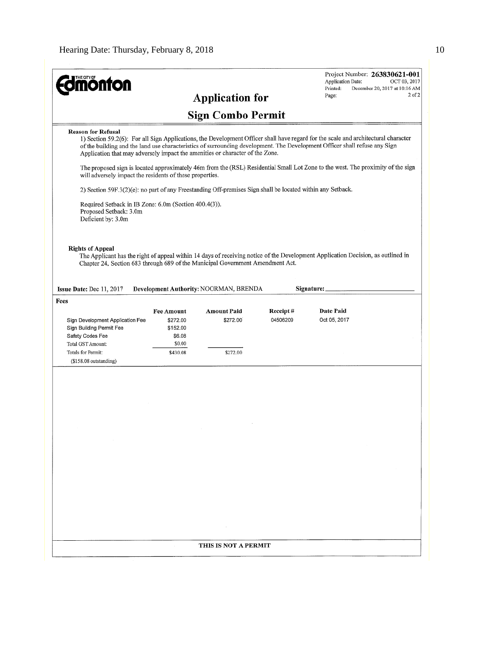| THE CITY OF<br><b>ionton</b>                                                                                                                                                                                                                                                                                                                                                   |                                | <b>Application for</b>                 |                  | Application Date:<br>Printed:<br>Page: | Project Number: 263830621-001<br>OCT 03, 2017<br>December 20, 2017 at 10:16 AM<br>$2$ of $2$ |
|--------------------------------------------------------------------------------------------------------------------------------------------------------------------------------------------------------------------------------------------------------------------------------------------------------------------------------------------------------------------------------|--------------------------------|----------------------------------------|------------------|----------------------------------------|----------------------------------------------------------------------------------------------|
|                                                                                                                                                                                                                                                                                                                                                                                |                                | <b>Sign Combo Permit</b>               |                  |                                        |                                                                                              |
| <b>Reason for Refusal</b><br>1) Section 59.2(6): For all Sign Applications, the Development Officer shall have regard for the scale and architectural character<br>of the building and the land use characteristics of surrounding development. The Development Officer shall refuse any Sign<br>Application that may adversely impact the amenities or character of the Zone. |                                |                                        |                  |                                        |                                                                                              |
| The proposed sign is located approximately 46m from the (RSL) Residential Small Lot Zone to the west. The proximity of the sign<br>will adversely impact the residents of these properties.                                                                                                                                                                                    |                                |                                        |                  |                                        |                                                                                              |
| 2) Section 59F.3(2)(e): no part of any Freestanding Off-premises Sign shall be located within any Setback.                                                                                                                                                                                                                                                                     |                                |                                        |                  |                                        |                                                                                              |
| Required Setback in IB Zone: 6.0m (Section 400.4(3)).<br>Proposed Setback: 3.0m<br>Deficient by: 3.0m                                                                                                                                                                                                                                                                          |                                |                                        |                  |                                        |                                                                                              |
| <b>Rights of Appeal</b><br>The Applicant has the right of appeal within 14 days of receiving notice of the Development Application Decision, as outlined in<br>Chapter 24, Section 683 through 689 of the Municipal Government Amendment Act.                                                                                                                                  |                                |                                        |                  |                                        |                                                                                              |
| Issue Date: Dec 11, 2017                                                                                                                                                                                                                                                                                                                                                       |                                | Development Authority: NOORMAN, BRENDA |                  | Signature:                             |                                                                                              |
| Fees                                                                                                                                                                                                                                                                                                                                                                           | <b>Fee Amount</b>              | <b>Amount Paid</b>                     | <b>Receipt</b> # | <b>Date Paid</b>                       |                                                                                              |
|                                                                                                                                                                                                                                                                                                                                                                                |                                |                                        |                  |                                        |                                                                                              |
| Sign Development Application Fee<br>Sign Building Permit Fee<br>Safety Codes Fee                                                                                                                                                                                                                                                                                               | \$272.00<br>\$152.00<br>\$6.08 | \$272.00                               | 04506209         | Oct 05, 2017                           |                                                                                              |
| Total GST Amount:<br>Totals for Permit:<br>$($158.08$ outstanding)                                                                                                                                                                                                                                                                                                             | \$0.00<br>\$430.08             | \$272.00                               |                  |                                        |                                                                                              |
|                                                                                                                                                                                                                                                                                                                                                                                |                                |                                        |                  |                                        |                                                                                              |
|                                                                                                                                                                                                                                                                                                                                                                                |                                |                                        |                  |                                        |                                                                                              |
|                                                                                                                                                                                                                                                                                                                                                                                |                                |                                        |                  |                                        |                                                                                              |
|                                                                                                                                                                                                                                                                                                                                                                                |                                |                                        |                  |                                        |                                                                                              |
|                                                                                                                                                                                                                                                                                                                                                                                |                                |                                        |                  |                                        |                                                                                              |
|                                                                                                                                                                                                                                                                                                                                                                                |                                |                                        |                  |                                        |                                                                                              |
|                                                                                                                                                                                                                                                                                                                                                                                |                                |                                        |                  |                                        |                                                                                              |
|                                                                                                                                                                                                                                                                                                                                                                                |                                |                                        |                  |                                        |                                                                                              |
|                                                                                                                                                                                                                                                                                                                                                                                |                                |                                        |                  |                                        |                                                                                              |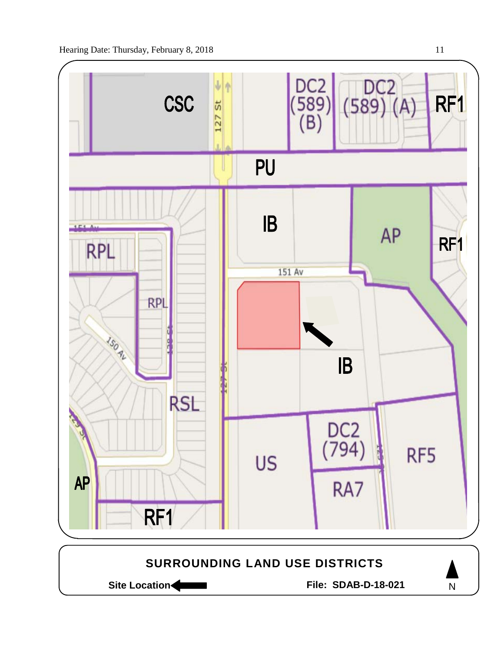

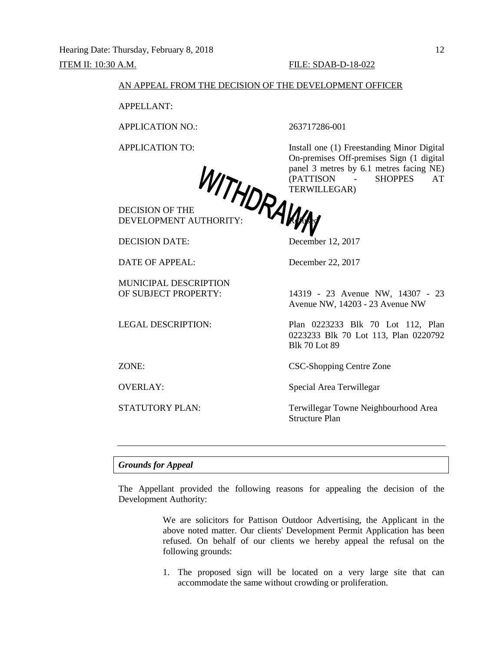#### AN APPEAL FROM THE DECISION OF THE DEVELOPMENT OFFICER

APPELLANT:

APPLICATION NO.: 263717286-001

DECISION OF THE DEVELOPMENT AUTHORITY: **FILOPED** 

DECISION DATE: December 12, 2017

DATE OF APPEAL: December 22, 2017

MUNICIPAL DESCRIPTION

APPLICATION TO: Install one (1) Freestanding Minor Digital On-premises Off-premises Sign (1 digital panel 3 metres by 6.1 metres facing NE) (PATTISON - SHOPPES AT TERWILLEGAR)

OF SUBJECT PROPERTY: 14319 - 23 Avenue NW, 14307 - 23 Avenue NW, 14203 - 23 Avenue NW

LEGAL DESCRIPTION: Plan 0223233 Blk 70 Lot 112, Plan 0223233 Blk 70 Lot 113, Plan 0220792 Blk 70 Lot 89

ZONE: CSC-Shopping Centre Zone

OVERLAY: Special Area Terwillegar

STATUTORY PLAN: Terwillegar Towne Neighbourhood Area Structure Plan

*Grounds for Appeal*

The Appellant provided the following reasons for appealing the decision of the Development Authority:

> We are solicitors for Pattison Outdoor Advertising, the Applicant in the above noted matter. Our clients' Development Permit Application has been refused. On behalf of our clients we hereby appeal the refusal on the following grounds:

> 1. The proposed sign will be located on a very large site that can accommodate the same without crowding or proliferation.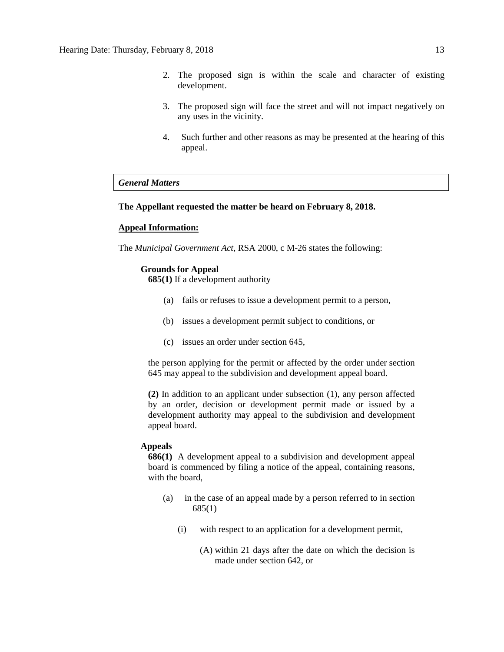- 2. The proposed sign is within the scale and character of existing development.
- 3. The proposed sign will face the street and will not impact negatively on any uses in the vicinity.
- 4. Such further and other reasons as may be presented at the hearing of this appeal.

# *General Matters*

# **The Appellant requested the matter be heard on February 8, 2018.**

# **Appeal Information:**

The *Municipal Government Act*, RSA 2000, c M-26 states the following:

# **Grounds for Appeal**

**685(1)** If a development authority

- (a) fails or refuses to issue a development permit to a person,
- (b) issues a development permit subject to conditions, or
- (c) issues an order under section 645,

the person applying for the permit or affected by the order under section 645 may appeal to the subdivision and development appeal board.

**(2)** In addition to an applicant under subsection (1), any person affected by an order, decision or development permit made or issued by a development authority may appeal to the subdivision and development appeal board.

#### **Appeals**

**686(1)** A development appeal to a subdivision and development appeal board is commenced by filing a notice of the appeal, containing reasons, with the board,

- (a) in the case of an appeal made by a person referred to in section 685(1)
	- (i) with respect to an application for a development permit,
		- (A) within 21 days after the date on which the decision is made under section 642, or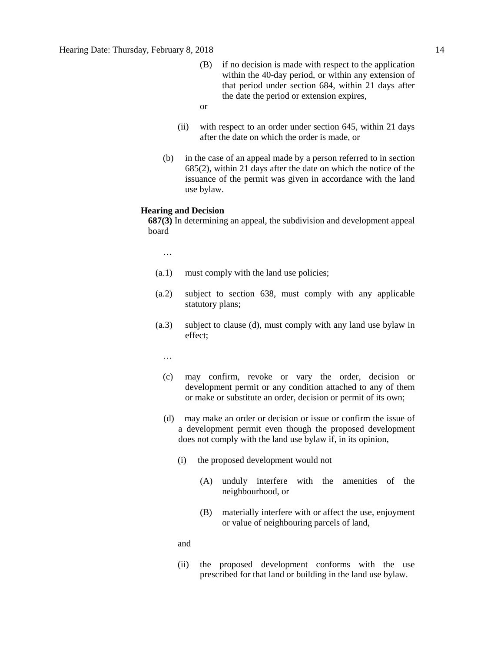- (B) if no decision is made with respect to the application within the 40-day period, or within any extension of that period under section 684, within 21 days after the date the period or extension expires,
- or
- (ii) with respect to an order under section 645, within 21 days after the date on which the order is made, or
- (b) in the case of an appeal made by a person referred to in section 685(2), within 21 days after the date on which the notice of the issuance of the permit was given in accordance with the land use bylaw.

#### **Hearing and Decision**

**687(3)** In determining an appeal, the subdivision and development appeal board

…

- (a.1) must comply with the land use policies;
- (a.2) subject to section 638, must comply with any applicable statutory plans;
- (a.3) subject to clause (d), must comply with any land use bylaw in effect;

…

- (c) may confirm, revoke or vary the order, decision or development permit or any condition attached to any of them or make or substitute an order, decision or permit of its own;
- (d) may make an order or decision or issue or confirm the issue of a development permit even though the proposed development does not comply with the land use bylaw if, in its opinion,
	- (i) the proposed development would not
		- (A) unduly interfere with the amenities of the neighbourhood, or
		- (B) materially interfere with or affect the use, enjoyment or value of neighbouring parcels of land,

and

(ii) the proposed development conforms with the use prescribed for that land or building in the land use bylaw.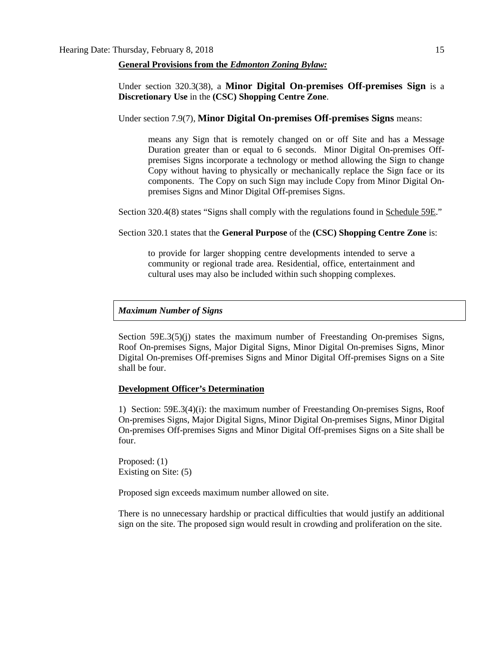## **General Provisions from the** *Edmonton Zoning Bylaw:*

# Under section 320.3(38), a **Minor Digital On-premises Off-premises Sign** is a **Discretionary Use** in the **(CSC) Shopping Centre Zone**.

# Under section 7.9(7), **Minor Digital On-premises Off-premises Signs** means:

means any Sign that is remotely changed on or off Site and has a Message Duration greater than or equal to 6 seconds. Minor Digital On-premises Offpremises Signs incorporate a technology or method allowing the Sign to change Copy without having to physically or mechanically replace the Sign face or its components. The Copy on such Sign may include Copy from Minor Digital Onpremises Signs and Minor Digital Off-premises Signs.

Section 320.4(8) states "Signs shall comply with the regulations found in Schedule 59E."

Section 320.1 states that the **General Purpose** of the **(CSC) Shopping Centre Zone** is:

to provide for larger shopping centre developments intended to serve a community or regional trade area. Residential, office, entertainment and cultural uses may also be included within such shopping complexes.

#### *Maximum Number of Signs*

Section 59E.3(5)(j) states the maximum number of Freestanding On-premises Signs, Roof On-premises Signs, Major Digital Signs, Minor Digital On-premises Signs, Minor Digital On-premises Off-premises Signs and Minor Digital Off-premises Signs on a Site shall be four.

## **Development Officer's Determination**

1) Section: 59E.3(4)(i): the maximum number of Freestanding On-premises Signs, Roof On-premises Signs, Major Digital Signs, Minor Digital On-premises Signs, Minor Digital On-premises Off-premises Signs and Minor Digital Off-premises Signs on a Site shall be four.

Proposed: (1) Existing on Site: (5)

Proposed sign exceeds maximum number allowed on site.

There is no unnecessary hardship or practical difficulties that would justify an additional sign on the site. The proposed sign would result in crowding and proliferation on the site.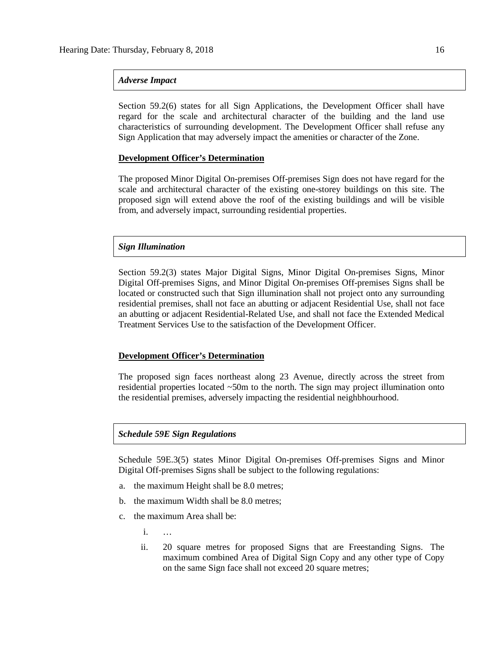# *Adverse Impact*

Section 59.2(6) states for all Sign Applications, the Development Officer shall have regard for the scale and architectural character of the building and the land use characteristics of surrounding development. The Development Officer shall refuse any Sign Application that may adversely impact the amenities or character of the Zone.

# **Development Officer's Determination**

The proposed Minor Digital On-premises Off-premises Sign does not have regard for the scale and architectural character of the existing one-storey buildings on this site. The proposed sign will extend above the roof of the existing buildings and will be visible from, and adversely impact, surrounding residential properties.

# *Sign Illumination*

Section 59.2(3) states Major Digital Signs, Minor Digital On-premises Signs, Minor Digital Off-premises Signs, and Minor Digital On-premises Off-premises Signs shall be located or constructed such that Sign illumination shall not project onto any surrounding residential premises, shall not face an abutting or adjacent Residential Use, shall not face an abutting or adjacent Residential-Related Use, and shall not face the Extended Medical Treatment Services Use to the satisfaction of the Development Officer.

#### **Development Officer's Determination**

The proposed sign faces northeast along 23 Avenue, directly across the street from residential properties located ~50m to the north. The sign may project illumination onto the residential premises, adversely impacting the residential neighbhourhood.

# *Schedule 59E Sign Regulations*

Schedule 59E.3(5) states Minor Digital On-premises Off-premises Signs and Minor Digital Off-premises Signs shall be subject to the following regulations:

- a. the maximum Height shall be [8.0 me](javascript:void(0);)tres;
- b. the maximum Width shall be [8.0 me](javascript:void(0);)tres;
- c. the maximum Area shall be:
	- i. …
	- ii. [20 square](javascript:void(0);) metres for proposed Signs that are Freestanding Signs. The maximum combined Area of Digital Sign Copy and any other type of Copy on the same Sign face shall not exceed [20](javascript:void(0);) square metres;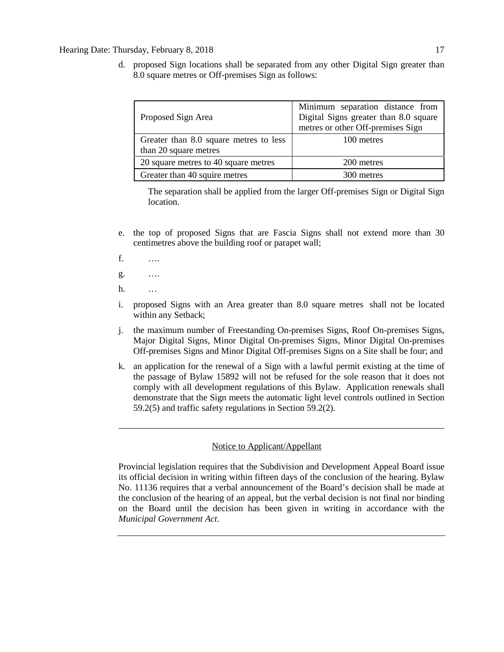d. proposed Sign locations shall be separated from any other Digital Sign greater than [8.0 square](javascript:void(0);) metres or Off-premises Sign as follows:

| Proposed Sign Area                                              | Minimum separation distance from<br>Digital Signs greater than 8.0 square<br>metres or other Off-premises Sign |
|-----------------------------------------------------------------|----------------------------------------------------------------------------------------------------------------|
| Greater than 8.0 square metres to less<br>than 20 square metres | 100 metres                                                                                                     |
| 20 square metres to 40 square metres                            | 200 metres                                                                                                     |
| Greater than 40 squire metres                                   | 300 metres                                                                                                     |

The separation shall be applied from the larger Off-premises Sign or Digital Sign location.

- e. the top of proposed Signs that are Fascia Signs shall not extend more than [30](javascript:void(0);) centimetres above the building roof or parapet wall;
- f. ….
- g. ….
- h. …
- i. proposed Signs with an Area greater than [8.0](javascript:void(0);) square metres shall not be located within any Setback;
- j. the maximum number of Freestanding On-premises Signs, Roof On-premises Signs, Major Digital Signs, Minor Digital On-premises Signs, Minor Digital On-premises Off-premises Signs and Minor Digital Off-premises Signs on a Site shall be four; and
- k. an application for the renewal of a Sign with a lawful permit existing at the time of the passage of Bylaw 15892 will not be refused for the sole reason that it does not comply with all development regulations of this Bylaw. Application renewals shall demonstrate that the Sign meets the automatic light level controls outlined in Section 59.2(5) and traffic safety regulations in Section 59.2(2).

# Notice to Applicant/Appellant

Provincial legislation requires that the Subdivision and Development Appeal Board issue its official decision in writing within fifteen days of the conclusion of the hearing. Bylaw No. 11136 requires that a verbal announcement of the Board's decision shall be made at the conclusion of the hearing of an appeal, but the verbal decision is not final nor binding on the Board until the decision has been given in writing in accordance with the *Municipal Government Act*.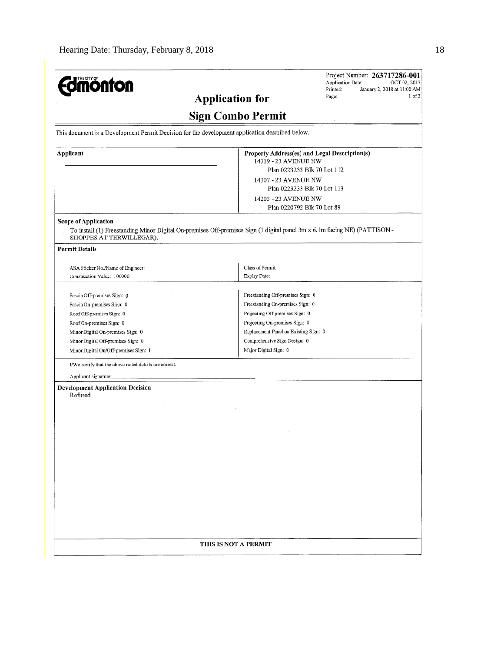| T <u>HE C</u> ITY OF<br><b>monton</b>                                                                                                                                                                                                  | Project Number: 263717286-001<br>Application Date:<br>OCT 02, 2017<br>Printed:<br>January 2, 2018 at 11:00 AM<br>1 of 2<br>Page:<br><b>Application for</b>                                                                                   |
|----------------------------------------------------------------------------------------------------------------------------------------------------------------------------------------------------------------------------------------|----------------------------------------------------------------------------------------------------------------------------------------------------------------------------------------------------------------------------------------------|
|                                                                                                                                                                                                                                        | <b>Sign Combo Permit</b>                                                                                                                                                                                                                     |
| This document is a Development Permit Decision for the development application described below.                                                                                                                                        |                                                                                                                                                                                                                                              |
| Applicant                                                                                                                                                                                                                              | Property Address(es) and Legal Description(s)<br>14319 - 23 AVENUE NW<br>Plan 0223233 Blk 70 Lot 112<br>14307 - 23 AVENUE NW<br>Plan 0223233 Blk 70 Lot 113<br>14203 - 23 AVENUE NW<br>Plan 0220792 Blk 70 Lot 89                            |
| Scope of Application<br>SHOPPES AT TERWILLEGAR).                                                                                                                                                                                       | To install (1) Freestanding Minor Digital On-premises Off-premises Sign (1 digital panel 3m x 6.1m facing NE) (PATTISON -                                                                                                                    |
| <b>Permit Details</b>                                                                                                                                                                                                                  |                                                                                                                                                                                                                                              |
| ASA Sticker No./Name of Engineer:<br>Construction Value: 100000                                                                                                                                                                        | Class of Permit:<br>Expiry Date:                                                                                                                                                                                                             |
| Fascia Off-premises Sign: 0<br>Fascia On-premises Sign: 0<br>Roof Off-premises Sign: 0<br>Roof On-premises Sign: 0<br>Minor Digital On-premises Sign: 0<br>Minor Digital Off-premises Sign: 0<br>Minor Digital On/Off-premises Sign: 1 | Freestanding Off-premises Sign: 0<br>Freestanding On-premises Sign: 0<br>Projecting Off-premises Sign: 0<br>Projecting On-premises Sign: 0<br>Replacement Panel on Existing Sign: 0<br>Comprehensive Sign Design: 0<br>Major Digital Sign: 0 |
| I/We certify that the above noted details are correct.                                                                                                                                                                                 |                                                                                                                                                                                                                                              |
| Applicant signature:<br><b>Development Application Decision</b><br>Refused<br>$\sim 10^{11}$<br>$\sim$                                                                                                                                 | $\sim 10^{-11}$                                                                                                                                                                                                                              |
|                                                                                                                                                                                                                                        | THIS IS NOT A PERMIT                                                                                                                                                                                                                         |
|                                                                                                                                                                                                                                        |                                                                                                                                                                                                                                              |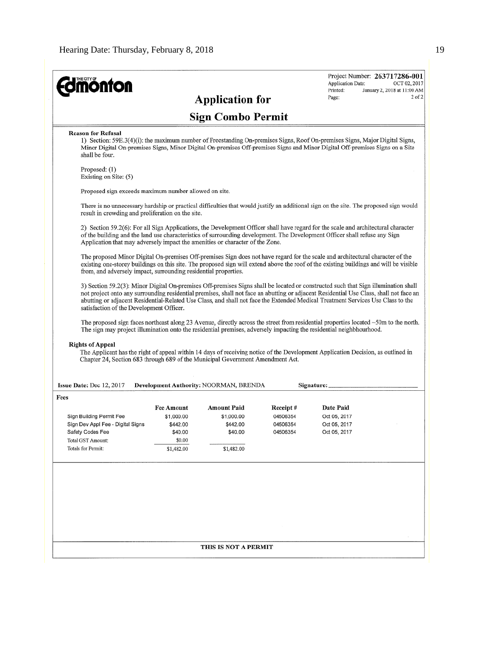$\mathcal{L}_{\mathcal{A}}$ 

|                                                                                                                                                                                                                                                                                                                                                                                                                 |                      |                                        |          | Application Date: | OCT 02, 2017                |
|-----------------------------------------------------------------------------------------------------------------------------------------------------------------------------------------------------------------------------------------------------------------------------------------------------------------------------------------------------------------------------------------------------------------|----------------------|----------------------------------------|----------|-------------------|-----------------------------|
| <b>Imónton</b>                                                                                                                                                                                                                                                                                                                                                                                                  |                      |                                        |          | Printed:<br>Page: | January 2, 2018 at 11:00 AM |
|                                                                                                                                                                                                                                                                                                                                                                                                                 |                      | <b>Application for</b>                 |          |                   |                             |
|                                                                                                                                                                                                                                                                                                                                                                                                                 |                      | <b>Sign Combo Permit</b>               |          |                   |                             |
| <b>Reason for Refusal</b><br>1) Section: 59E.3(4)(i): the maximum number of Freestanding On-premises Signs, Roof On-premises Signs, Major Digital Signs,<br>Minor Digital On-premises Signs, Minor Digital On-premises Off-premises Signs and Minor Digital Off-premises Signs on a Site<br>shall be four.                                                                                                      |                      |                                        |          |                   |                             |
| Proposed: (1)<br>Existing on Site: (5)                                                                                                                                                                                                                                                                                                                                                                          |                      |                                        |          |                   |                             |
| Proposed sign exceeds maximum number allowed on site.                                                                                                                                                                                                                                                                                                                                                           |                      |                                        |          |                   |                             |
| There is no unnecessary hardship or practical difficulties that would justify an additional sign on the site. The proposed sign would<br>result in crowding and proliferation on the site.                                                                                                                                                                                                                      |                      |                                        |          |                   |                             |
| 2) Section 59.2(6): For all Sign Applications, the Development Officer shall have regard for the scale and architectural character<br>of the building and the land use characteristics of surrounding development. The Development Officer shall refuse any Sign<br>Application that may adversely impact the amenities or character of the Zone.                                                               |                      |                                        |          |                   |                             |
| The proposed Minor Digital On-premises Off-premises Sign does not have regard for the scale and architectural character of the<br>existing one-storey buildings on this site. The proposed sign will extend above the roof of the existing buildings and will be visible<br>from, and adversely impact, surrounding residential properties.                                                                     |                      |                                        |          |                   |                             |
| 3) Section 59.2(3): Minor Digital On-premises Off-premises Signs shall be located or constructed such that Sign illumination shall<br>not project onto any surrounding residential premises, shall not face an abutting or adjacent Residential Use Class, shall not face an<br>abutting or adjacent Residential-Related Use Class, and shall not face the Extended Medical Treatment Services Use Class to the |                      |                                        |          |                   |                             |
| satisfaction of the Development Officer.<br>The proposed sign faces northeast along 23 Avenue, directly across the street from residential properties located $\sim$ 50m to the north.                                                                                                                                                                                                                          |                      |                                        |          |                   |                             |
| The sign may project illumination onto the residential premises, adversely impacting the residential neighbhourhood.                                                                                                                                                                                                                                                                                            |                      |                                        |          |                   |                             |
| <b>Rights of Appeal</b><br>The Applicant has the right of appeal within 14 days of receiving notice of the Development Application Decision, as outlined in<br>Chapter 24, Section 683 through 689 of the Municipal Government Amendment Act.                                                                                                                                                                   |                      |                                        |          |                   |                             |
| Issue Date: Dec 12, 2017                                                                                                                                                                                                                                                                                                                                                                                        |                      | Development Authority: NOORMAN, BRENDA |          | Signature:        |                             |
| Fees                                                                                                                                                                                                                                                                                                                                                                                                            |                      |                                        |          |                   |                             |
|                                                                                                                                                                                                                                                                                                                                                                                                                 | <b>Fee Amount</b>    | <b>Amount Paid</b>                     | Receipt# | Date Paid         |                             |
| Sign Building Permit Fee                                                                                                                                                                                                                                                                                                                                                                                        | \$1,000.00           | \$1,000.00                             | 04506354 | Oct 05, 2017      |                             |
| Sign Dev Appl Fee - Digital Signs                                                                                                                                                                                                                                                                                                                                                                               | \$442.00             | \$442.00                               | 04506354 | Oct 05, 2017      |                             |
| Safety Codes Fee                                                                                                                                                                                                                                                                                                                                                                                                | \$40.00              | \$40.00                                | 04506354 | Oct 05, 2017      |                             |
| Total GST Amount:<br>Totals for Permit:                                                                                                                                                                                                                                                                                                                                                                         | \$0.00<br>\$1,482.00 | \$1,482.00                             |          |                   |                             |
|                                                                                                                                                                                                                                                                                                                                                                                                                 |                      |                                        |          |                   |                             |
|                                                                                                                                                                                                                                                                                                                                                                                                                 |                      |                                        |          |                   |                             |
|                                                                                                                                                                                                                                                                                                                                                                                                                 |                      |                                        |          |                   |                             |